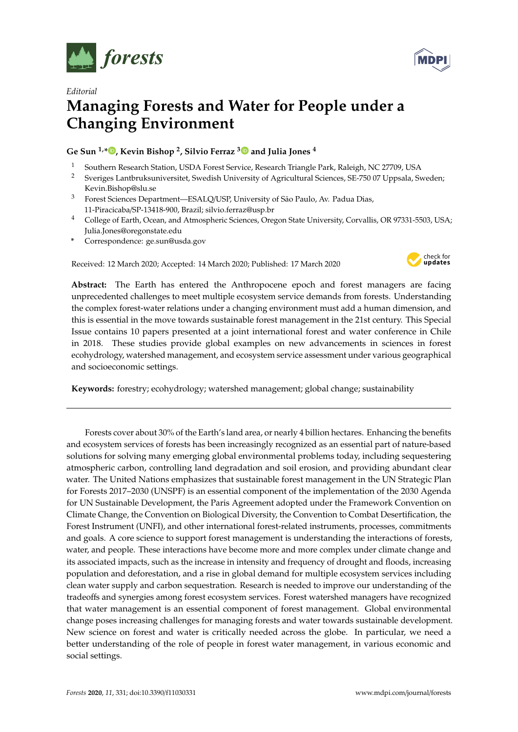

*Editorial*



## **Managing Forests and Water for People under a Changing Environment**

## **Ge Sun 1,[\\*](https://orcid.org/0000-0002-0159-1370) , Kevin Bishop <sup>2</sup> , Silvio Ferraz [3](https://orcid.org/0000-0003-1808-5420) and Julia Jones <sup>4</sup>**

- <sup>1</sup> Southern Research Station, USDA Forest Service, Research Triangle Park, Raleigh, NC 27709, USA<br><sup>2</sup> Storiges Lanthuikouniversitet, Suedish University of Agricultural Sciences, SE 750.07 Unpeals, St
- <sup>2</sup> Sveriges Lantbruksuniversitet, Swedish University of Agricultural Sciences, SE-750 07 Uppsala, Sweden; Kevin.Bishop@slu.se
- <sup>3</sup> Forest Sciences Department—ESALQ/USP, University of São Paulo, Av. Padua Dias, 11-Piracicaba/SP-13418-900, Brazil; silvio.ferraz@usp.br
- <sup>4</sup> College of Earth, Ocean, and Atmospheric Sciences, Oregon State University, Corvallis, OR 97331-5503, USA; Julia.Jones@oregonstate.edu
- **\*** Correspondence: ge.sun@usda.gov

Received: 12 March 2020; Accepted: 14 March 2020; Published: 17 March 2020



**Abstract:** The Earth has entered the Anthropocene epoch and forest managers are facing unprecedented challenges to meet multiple ecosystem service demands from forests. Understanding the complex forest-water relations under a changing environment must add a human dimension, and this is essential in the move towards sustainable forest management in the 21st century. This Special Issue contains 10 papers presented at a joint international forest and water conference in Chile in 2018. These studies provide global examples on new advancements in sciences in forest ecohydrology, watershed management, and ecosystem service assessment under various geographical and socioeconomic settings.

**Keywords:** forestry; ecohydrology; watershed management; global change; sustainability

Forests cover about 30% of the Earth's land area, or nearly 4 billion hectares. Enhancing the benefits and ecosystem services of forests has been increasingly recognized as an essential part of nature-based solutions for solving many emerging global environmental problems today, including sequestering atmospheric carbon, controlling land degradation and soil erosion, and providing abundant clear water. The United Nations emphasizes that sustainable forest management in the UN Strategic Plan for Forests 2017–2030 (UNSPF) is an essential component of the implementation of the 2030 Agenda for UN Sustainable Development, the Paris Agreement adopted under the Framework Convention on Climate Change, the Convention on Biological Diversity, the Convention to Combat Desertification, the Forest Instrument (UNFI), and other international forest-related instruments, processes, commitments and goals. A core science to support forest management is understanding the interactions of forests, water, and people. These interactions have become more and more complex under climate change and its associated impacts, such as the increase in intensity and frequency of drought and floods, increasing population and deforestation, and a rise in global demand for multiple ecosystem services including clean water supply and carbon sequestration. Research is needed to improve our understanding of the tradeoffs and synergies among forest ecosystem services. Forest watershed managers have recognized that water management is an essential component of forest management. Global environmental change poses increasing challenges for managing forests and water towards sustainable development. New science on forest and water is critically needed across the globe. In particular, we need a better understanding of the role of people in forest water management, in various economic and social settings.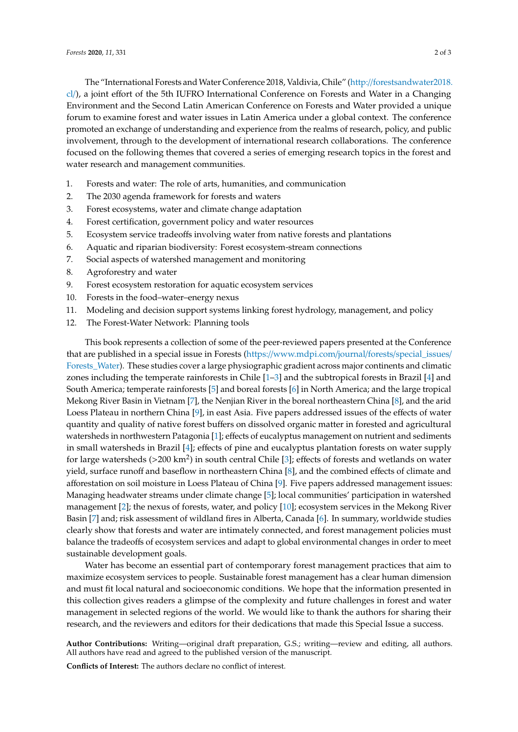The "International Forests andWater Conference 2018, Valdivia, Chile" (http://[forestsandwater2018.](http://forestsandwater2018.cl/) [cl](http://forestsandwater2018.cl/)/), a joint effort of the 5th IUFRO International Conference on Forests and Water in a Changing Environment and the Second Latin American Conference on Forests and Water provided a unique forum to examine forest and water issues in Latin America under a global context. The conference promoted an exchange of understanding and experience from the realms of research, policy, and public involvement, through to the development of international research collaborations. The conference focused on the following themes that covered a series of emerging research topics in the forest and water research and management communities.

- 1. Forests and water: The role of arts, humanities, and communication
- 2. The 2030 agenda framework for forests and waters
- 3. Forest ecosystems, water and climate change adaptation
- 4. Forest certification, government policy and water resources
- 5. Ecosystem service tradeoffs involving water from native forests and plantations
- 6. Aquatic and riparian biodiversity: Forest ecosystem-stream connections
- 7. Social aspects of watershed management and monitoring
- 8. Agroforestry and water
- 9. Forest ecosystem restoration for aquatic ecosystem services
- 10. Forests in the food–water–energy nexus
- 11. Modeling and decision support systems linking forest hydrology, management, and policy
- 12. The Forest-Water Network: Planning tools

This book represents a collection of some of the peer-reviewed papers presented at the Conference that are published in a special issue in Forests (https://[www.mdpi.com](https://www.mdpi.com/journal/forests/special_issues/Forests_Water)/journal/forests/special\_issues/ [Forests\\_Water\)](https://www.mdpi.com/journal/forests/special_issues/Forests_Water). These studies cover a large physiographic gradient across major continents and climatic zones including the temperate rainforests in Chile [\[1](#page-2-0)[–3\]](#page-2-1) and the subtropical forests in Brazil [\[4\]](#page-2-2) and South America; temperate rainforests [\[5\]](#page-2-3) and boreal forests [\[6\]](#page-2-4) in North America; and the large tropical Mekong River Basin in Vietnam [\[7\]](#page-2-5), the Nenjian River in the boreal northeastern China [\[8\]](#page-2-6), and the arid Loess Plateau in northern China [\[9\]](#page-2-7), in east Asia. Five papers addressed issues of the effects of water quantity and quality of native forest buffers on dissolved organic matter in forested and agricultural watersheds in northwestern Patagonia [\[1\]](#page-2-0); effects of eucalyptus management on nutrient and sediments in small watersheds in Brazil [\[4\]](#page-2-2); effects of pine and eucalyptus plantation forests on water supply for large watersheds (>200 km<sup>2</sup>) in south central Chile [\[3\]](#page-2-1); effects of forests and wetlands on water yield, surface runoff and baseflow in northeastern China [\[8\]](#page-2-6), and the combined effects of climate and afforestation on soil moisture in Loess Plateau of China [\[9\]](#page-2-7). Five papers addressed management issues: Managing headwater streams under climate change [\[5\]](#page-2-3); local communities' participation in watershed management [\[2\]](#page-2-8); the nexus of forests, water, and policy [\[10\]](#page-2-9); ecosystem services in the Mekong River Basin [\[7\]](#page-2-5) and; risk assessment of wildland fires in Alberta, Canada [\[6\]](#page-2-4). In summary, worldwide studies clearly show that forests and water are intimately connected, and forest management policies must balance the tradeoffs of ecosystem services and adapt to global environmental changes in order to meet sustainable development goals.

Water has become an essential part of contemporary forest management practices that aim to maximize ecosystem services to people. Sustainable forest management has a clear human dimension and must fit local natural and socioeconomic conditions. We hope that the information presented in this collection gives readers a glimpse of the complexity and future challenges in forest and water management in selected regions of the world. We would like to thank the authors for sharing their research, and the reviewers and editors for their dedications that made this Special Issue a success.

**Author Contributions:** Writing—original draft preparation, G.S.; writing—review and editing, all authors. All authors have read and agreed to the published version of the manuscript.

**Conflicts of Interest:** The authors declare no conflict of interest.